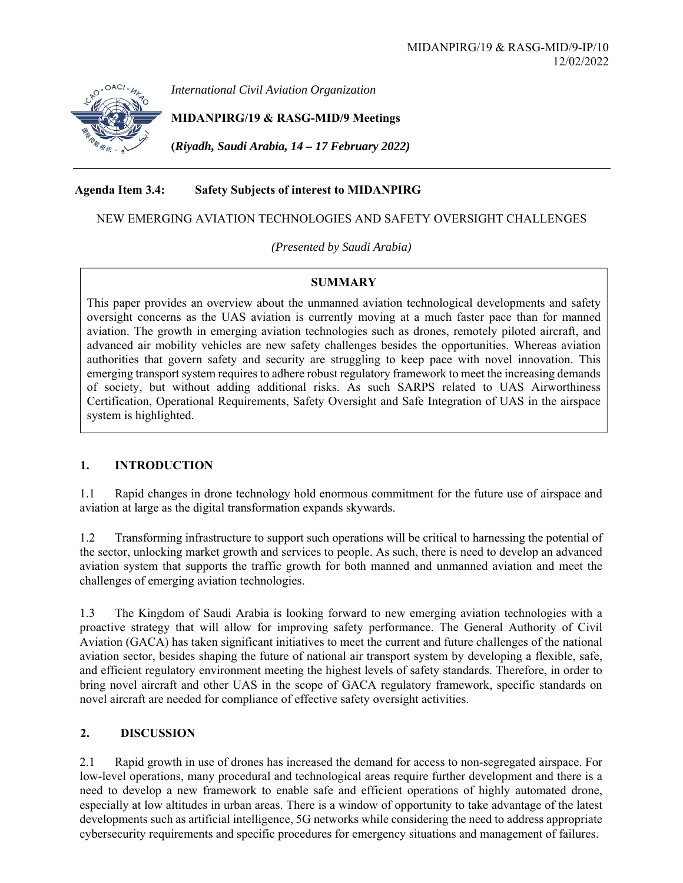

*International Civil Aviation Organization*

**MIDANPIRG/19 & RASG-MID/9 Meetings** 

**(***Riyadh, Saudi Arabia, 14 – 17 February 2022)* 

# **Agenda Item 3.4: Safety Subjects of interest to MIDANPIRG**

### NEW EMERGING AVIATION TECHNOLOGIES AND SAFETY OVERSIGHT CHALLENGES

*(Presented by Saudi Arabia)* 

### **SUMMARY**

This paper provides an overview about the unmanned aviation technological developments and safety oversight concerns as the UAS aviation is currently moving at a much faster pace than for manned aviation. The growth in emerging aviation technologies such as drones, remotely piloted aircraft, and advanced air mobility vehicles are new safety challenges besides the opportunities. Whereas aviation authorities that govern safety and security are struggling to keep pace with novel innovation. This emerging transport system requires to adhere robust regulatory framework to meet the increasing demands of society, but without adding additional risks. As such SARPS related to UAS Airworthiness Certification, Operational Requirements, Safety Oversight and Safe Integration of UAS in the airspace system is highlighted.

## **1. INTRODUCTION**

1.1 Rapid changes in drone technology hold enormous commitment for the future use of airspace and aviation at large as the digital transformation expands skywards.

1.2 Transforming infrastructure to support such operations will be critical to harnessing the potential of the sector, unlocking market growth and services to people. As such, there is need to develop an advanced aviation system that supports the traffic growth for both manned and unmanned aviation and meet the challenges of emerging aviation technologies.

1.3 The Kingdom of Saudi Arabia is looking forward to new emerging aviation technologies with a proactive strategy that will allow for improving safety performance. The General Authority of Civil Aviation (GACA) has taken significant initiatives to meet the current and future challenges of the national aviation sector, besides shaping the future of national air transport system by developing a flexible, safe, and efficient regulatory environment meeting the highest levels of safety standards. Therefore, in order to bring novel aircraft and other UAS in the scope of GACA regulatory framework, specific standards on novel aircraft are needed for compliance of effective safety oversight activities.

## **2. DISCUSSION**

2.1 Rapid growth in use of drones has increased the demand for access to non-segregated airspace. For low-level operations, many procedural and technological areas require further development and there is a need to develop a new framework to enable safe and efficient operations of highly automated drone, especially at low altitudes in urban areas. There is a window of opportunity to take advantage of the latest developments such as artificial intelligence, 5G networks while considering the need to address appropriate cybersecurity requirements and specific procedures for emergency situations and management of failures.